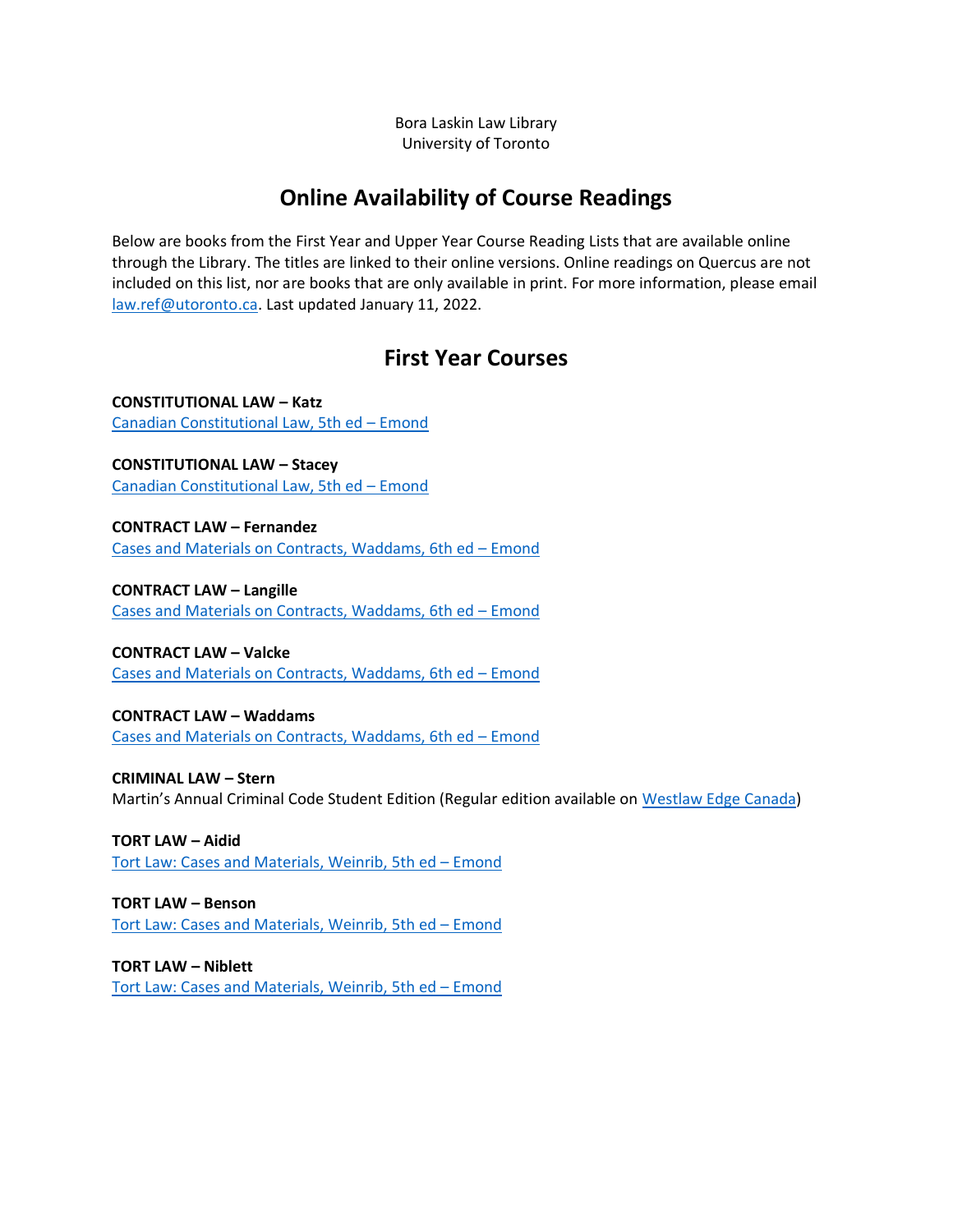Bora Laskin Law Library University of Toronto

# **Online Availability of Course Readings**

Below are books from the First Year and Upper Year Course Reading Lists that are available online through the Library. The titles are linked to their online versions. Online readings on Quercus are not included on this list, nor are books that are only available in print. For more information, please email [law.ref@utoronto.ca.](mailto:law.ref@utoronto.ca) Last updated January 11, 2022.

# **First Year Courses**

**CONSTITUTIONAL LAW – Katz** [Canadian Constitutional Law, 5th ed](https://librarysearch.library.utoronto.ca/permalink/01UTORONTO_INST/14bjeso/alma991106210888606196) – Emond

**CONSTITUTIONAL LAW – Stacey** [Canadian Constitutional Law, 5th ed](https://librarysearch.library.utoronto.ca/permalink/01UTORONTO_INST/14bjeso/alma991106210888606196) – Emond

**CONTRACT LAW – Fernandez** [Cases and Materials on Contracts, Waddams, 6th ed](https://librarysearch.library.utoronto.ca/permalink/01UTORONTO_INST/14bjeso/alma991106210901206196) – Emond

**CONTRACT LAW – Langille** [Cases and Materials on Contracts, Waddams, 6th ed](https://librarysearch.library.utoronto.ca/permalink/01UTORONTO_INST/14bjeso/alma991106210901206196) – Emond

**CONTRACT LAW – Valcke** [Cases and Materials on Contracts, Waddams, 6th ed](https://librarysearch.library.utoronto.ca/permalink/01UTORONTO_INST/14bjeso/alma991106210901206196) – Emond

**CONTRACT LAW – Waddams** [Cases and Materials on Contracts, Waddams, 6th ed](https://librarysearch.library.utoronto.ca/permalink/01UTORONTO_INST/14bjeso/alma991106210901206196) – Emond

**CRIMINAL LAW – Stern** Martin's Annual Criminal Code Student Edition (Regular edition available on [Westlaw](https://nextcanada.westlaw.com/Browse/Home/TextsandAnnotations/CriminalSourceTextsandAnnotations/MartinsAnnualCriminalCode?transitionType=Default&contextData=(sc.Default)) Edge Canada)

**TORT LAW – Aidid** [Tort Law: Cases and Materials, Weinrib, 5th ed](https://librarysearch.library.utoronto.ca/permalink/01UTORONTO_INST/14bjeso/alma991106210739006196) – Emond

**TORT LAW – Benson** [Tort Law: Cases and Materials, Weinrib, 5th ed](https://librarysearch.library.utoronto.ca/permalink/01UTORONTO_INST/14bjeso/alma991106210739006196) – Emond

**TORT LAW – Niblett** [Tort Law: Cases and Materials, Weinrib, 5th ed](https://librarysearch.library.utoronto.ca/permalink/01UTORONTO_INST/14bjeso/alma991106210739006196) – Emond